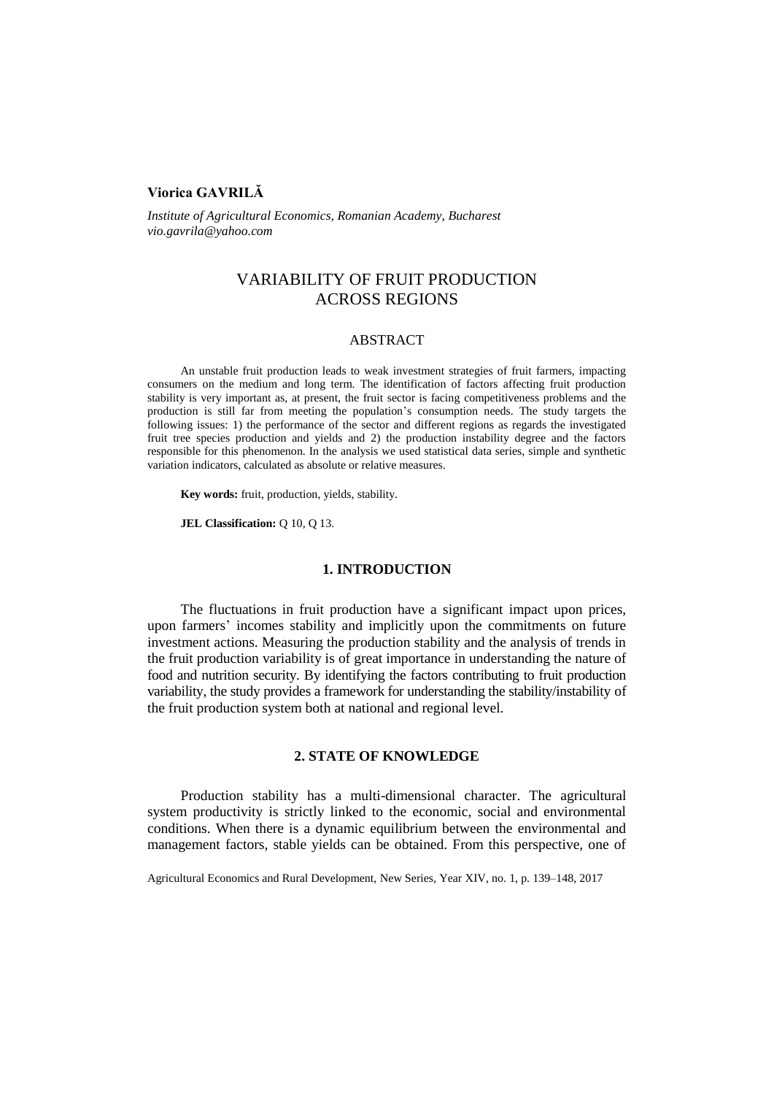# **Viorica GAVRILĂ**

*Institute of Agricultural Economics, Romanian Academy, Bucharest vio.gavrila@yahoo.com* 

# VARIABILITY OF FRUIT PRODUCTION ACROSS REGIONS

## ABSTRACT

An unstable fruit production leads to weak investment strategies of fruit farmers, impacting consumers on the medium and long term. The identification of factors affecting fruit production stability is very important as, at present, the fruit sector is facing competitiveness problems and the production is still far from meeting the population's consumption needs. The study targets the following issues: 1) the performance of the sector and different regions as regards the investigated fruit tree species production and yields and 2) the production instability degree and the factors responsible for this phenomenon. In the analysis we used statistical data series, simple and synthetic variation indicators, calculated as absolute or relative measures.

**Key words:** fruit, production, yields, stability.

**JEL Classification:** Q 10, Q 13.

#### **1. INTRODUCTION**

The fluctuations in fruit production have a significant impact upon prices, upon farmers' incomes stability and implicitly upon the commitments on future investment actions. Measuring the production stability and the analysis of trends in the fruit production variability is of great importance in understanding the nature of food and nutrition security. By identifying the factors contributing to fruit production variability, the study provides a framework for understanding the stability/instability of the fruit production system both at national and regional level.

## **2. STATE OF KNOWLEDGE**

Production stability has a multi-dimensional character. The agricultural system productivity is strictly linked to the economic, social and environmental conditions. When there is a dynamic equilibrium between the environmental and management factors, stable yields can be obtained. From this perspective, one of

Agricultural Economics and Rural Development, New Series, Year XIV, no. 1, p. 139–148, 2017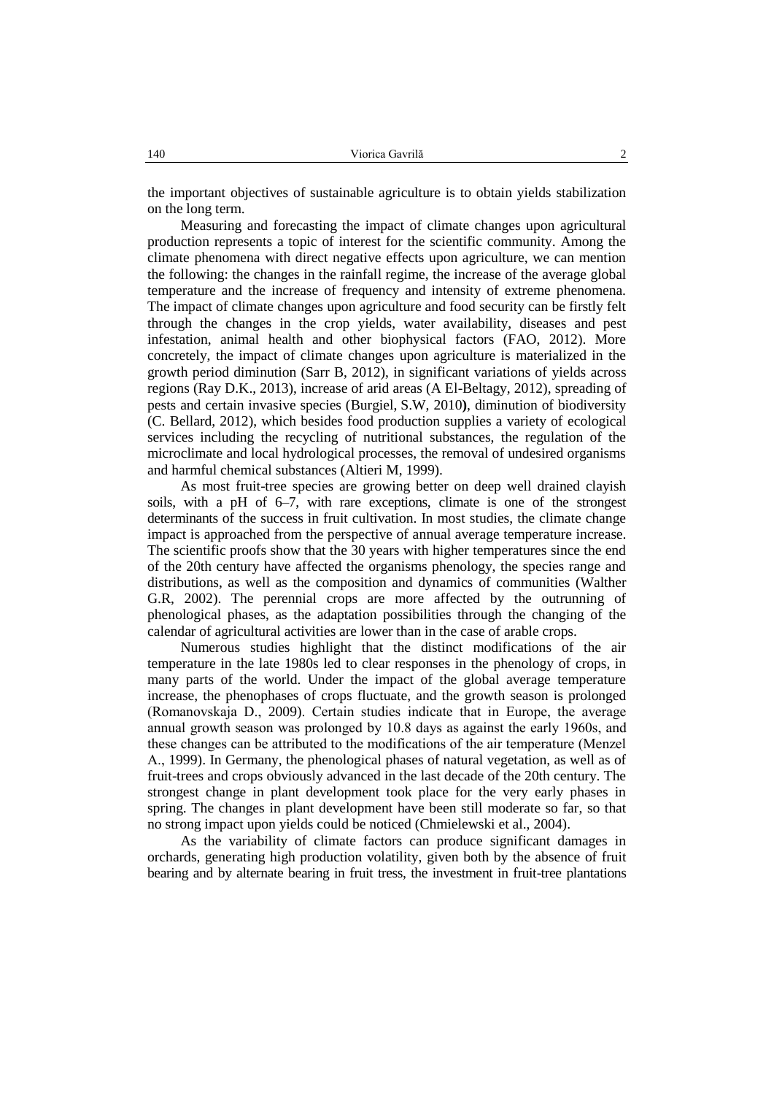the important objectives of sustainable agriculture is to obtain yields stabilization on the long term.

Measuring and forecasting the impact of climate changes upon agricultural production represents a topic of interest for the scientific community. Among the climate phenomena with direct negative effects upon agriculture, we can mention the following: the changes in the rainfall regime, the increase of the average global temperature and the increase of frequency and intensity of extreme phenomena. The impact of climate changes upon agriculture and food security can be firstly felt through the changes in the crop yields, water availability, diseases and pest infestation, animal health and other biophysical factors (FAO, 2012). More concretely, the impact of climate changes upon agriculture is materialized in the growth period diminution (Sarr B, 2012), in significant variations of yields across regions (Ray D.K., 2013), increase of arid areas (A El-Beltagy, 2012), spreading of pests and certain invasive species (Burgiel, S.W, 2010**)**, diminution of biodiversity (C. Bellard, 2012), which besides food production supplies a variety of ecological services including the recycling of nutritional substances, the regulation of the microclimate and local hydrological processes, the removal of undesired organisms and harmful chemical substances (Altieri M, 1999).

As most fruit-tree species are growing better on deep well drained clayish soils, with a pH of 6–7, with rare exceptions, climate is one of the strongest determinants of the success in fruit cultivation. In most studies, the climate change impact is approached from the perspective of annual average temperature increase. The scientific proofs show that the 30 years with higher temperatures since the end of the 20th century have affected the organisms phenology, the species range and distributions, as well as the composition and dynamics of communities (Walther G.R, 2002). The perennial crops are more affected by the outrunning of phenological phases, as the adaptation possibilities through the changing of the calendar of agricultural activities are lower than in the case of arable crops.

Numerous studies highlight that the distinct modifications of the air temperature in the late 1980s led to clear responses in the phenology of crops, in many parts of the world. Under the impact of the global average temperature increase, the phenophases of crops fluctuate, and the growth season is prolonged (Romanovskaja D., 2009). Certain studies indicate that in Europe, the average annual growth season was prolonged by 10.8 days as against the early 1960s, and these changes can be attributed to the modifications of the air temperature (Menzel A., 1999). In Germany, the phenological phases of natural vegetation, as well as of fruit-trees and crops obviously advanced in the last decade of the 20th century. The strongest change in plant development took place for the very early phases in spring. The changes in plant development have been still moderate so far, so that no strong impact upon yields could be noticed (Chmielewski et al., 2004).

As the variability of climate factors can produce significant damages in orchards, generating high production volatility, given both by the absence of fruit bearing and by alternate bearing in fruit tress, the investment in fruit-tree plantations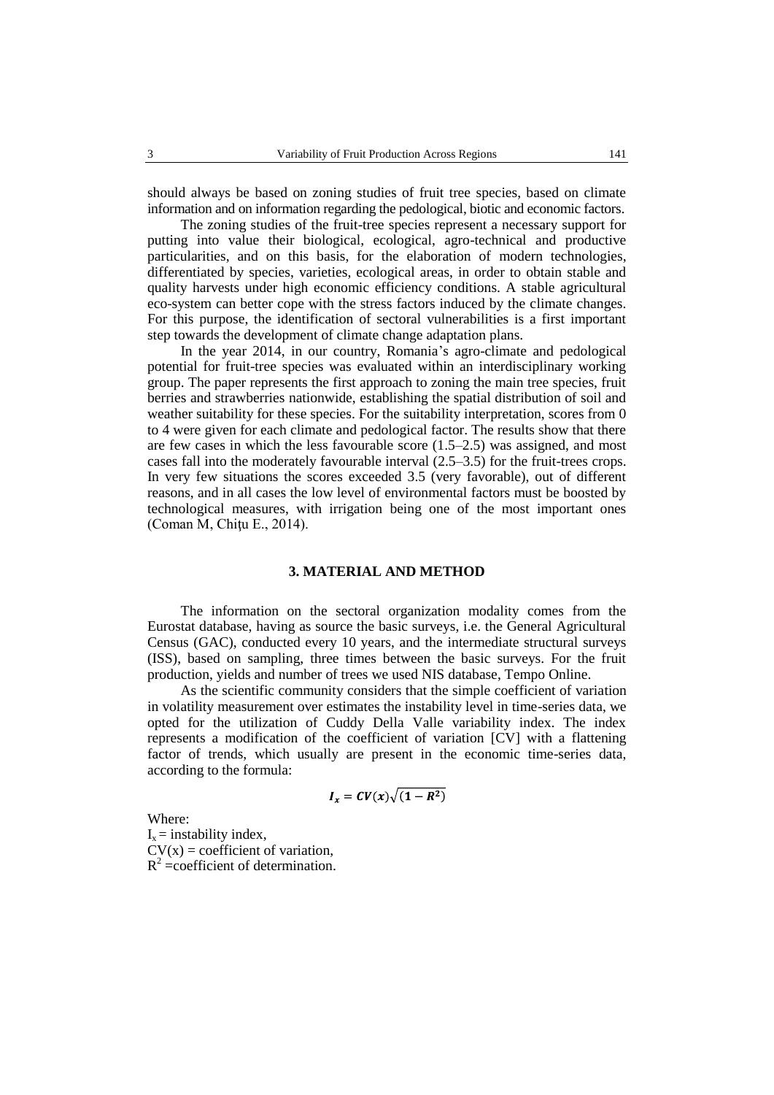should always be based on zoning studies of fruit tree species, based on climate information and on information regarding the pedological, biotic and economic factors.

The zoning studies of the fruit-tree species represent a necessary support for putting into value their biological, ecological, agro-technical and productive particularities, and on this basis, for the elaboration of modern technologies, differentiated by species, varieties, ecological areas, in order to obtain stable and quality harvests under high economic efficiency conditions. A stable agricultural eco-system can better cope with the stress factors induced by the climate changes. For this purpose, the identification of sectoral vulnerabilities is a first important step towards the development of climate change adaptation plans.

In the year 2014, in our country, Romania's agro-climate and pedological potential for fruit-tree species was evaluated within an interdisciplinary working group. The paper represents the first approach to zoning the main tree species, fruit berries and strawberries nationwide, establishing the spatial distribution of soil and weather suitability for these species. For the suitability interpretation, scores from 0 to 4 were given for each climate and pedological factor. The results show that there are few cases in which the less favourable score (1.5–2.5) was assigned, and most cases fall into the moderately favourable interval (2.5–3.5) for the fruit-trees crops. In very few situations the scores exceeded 3.5 (very favorable), out of different reasons, and in all cases the low level of environmental factors must be boosted by technological measures, with irrigation being one of the most important ones (Coman M, Chiţu E., 2014).

#### **3. MATERIAL AND METHOD**

The information on the sectoral organization modality comes from the Eurostat database, having as source the basic surveys, i.e. the General Agricultural Census (GAC), conducted every 10 years, and the intermediate structural surveys (ISS), based on sampling, three times between the basic surveys. For the fruit production, yields and number of trees we used NIS database, Tempo Online.

As the scientific community considers that the simple coefficient of variation in volatility measurement over estimates the instability level in time-series data, we opted for the utilization of Cuddy Della Valle variability index. The index represents a modification of the coefficient of variation [CV] with a flattening factor of trends, which usually are present in the economic time-series data, according to the formula:

$$
I_x = CV(x)\sqrt{(1 - R^2)}
$$

Where:  $I_x$  = instability index,  $CV(x) = coefficient of variation,$  $R^2$  =coefficient of determination.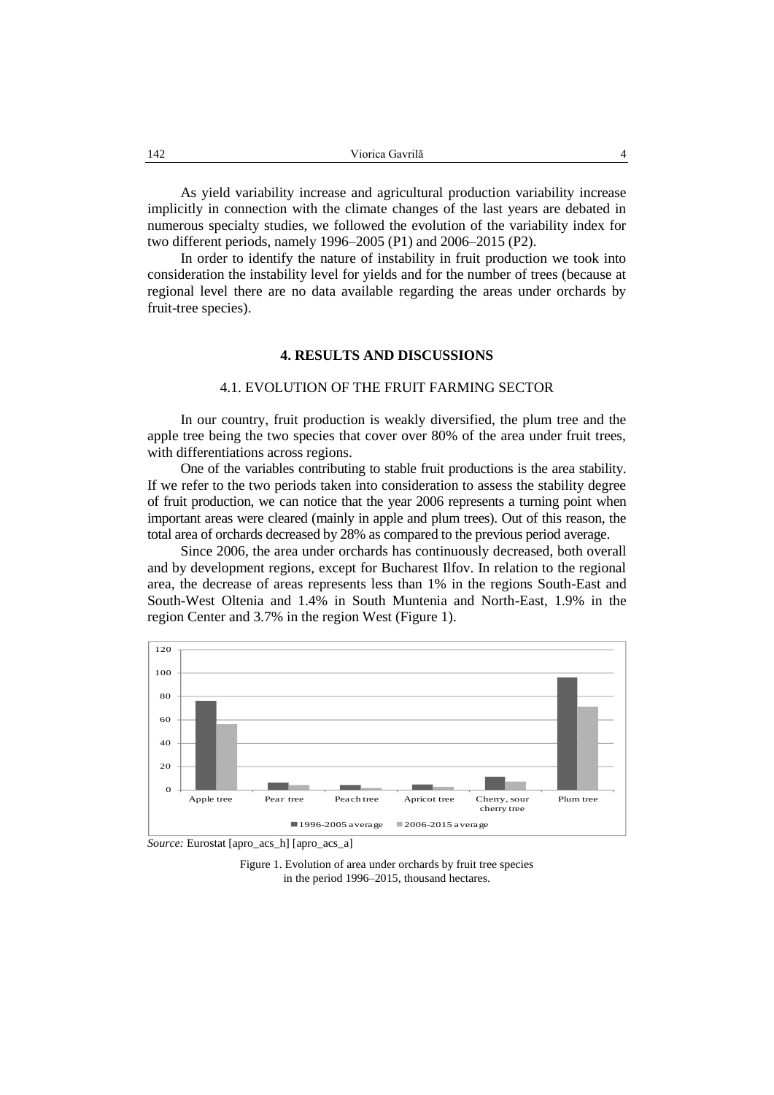As yield variability increase and agricultural production variability increase implicitly in connection with the climate changes of the last years are debated in numerous specialty studies, we followed the evolution of the variability index for two different periods, namely 1996–2005 (P1) and 2006–2015 (P2).

In order to identify the nature of instability in fruit production we took into consideration the instability level for yields and for the number of trees (because at regional level there are no data available regarding the areas under orchards by fruit-tree species).

#### **4. RESULTS AND DISCUSSIONS**

#### 4.1. EVOLUTION OF THE FRUIT FARMING SECTOR

In our country, fruit production is weakly diversified, the plum tree and the apple tree being the two species that cover over 80% of the area under fruit trees, with differentiations across regions.

One of the variables contributing to stable fruit productions is the area stability. If we refer to the two periods taken into consideration to assess the stability degree of fruit production, we can notice that the year 2006 represents a turning point when important areas were cleared (mainly in apple and plum trees). Out of this reason, the total area of orchards decreased by 28% as compared to the previous period average.

Since 2006, the area under orchards has continuously decreased, both overall and by development regions, except for Bucharest Ilfov. In relation to the regional area, the decrease of areas represents less than 1% in the regions South-East and South**-**West Oltenia and 1.4% in South Muntenia and North**-**East, 1.9% in the region Center and 3.7% in the region West (Figure 1).



*Source:* Eurostat [apro\_acs\_h] [apro\_acs\_a]

Figure 1. Evolution of area under orchards by fruit tree species in the period 1996–2015, thousand hectares.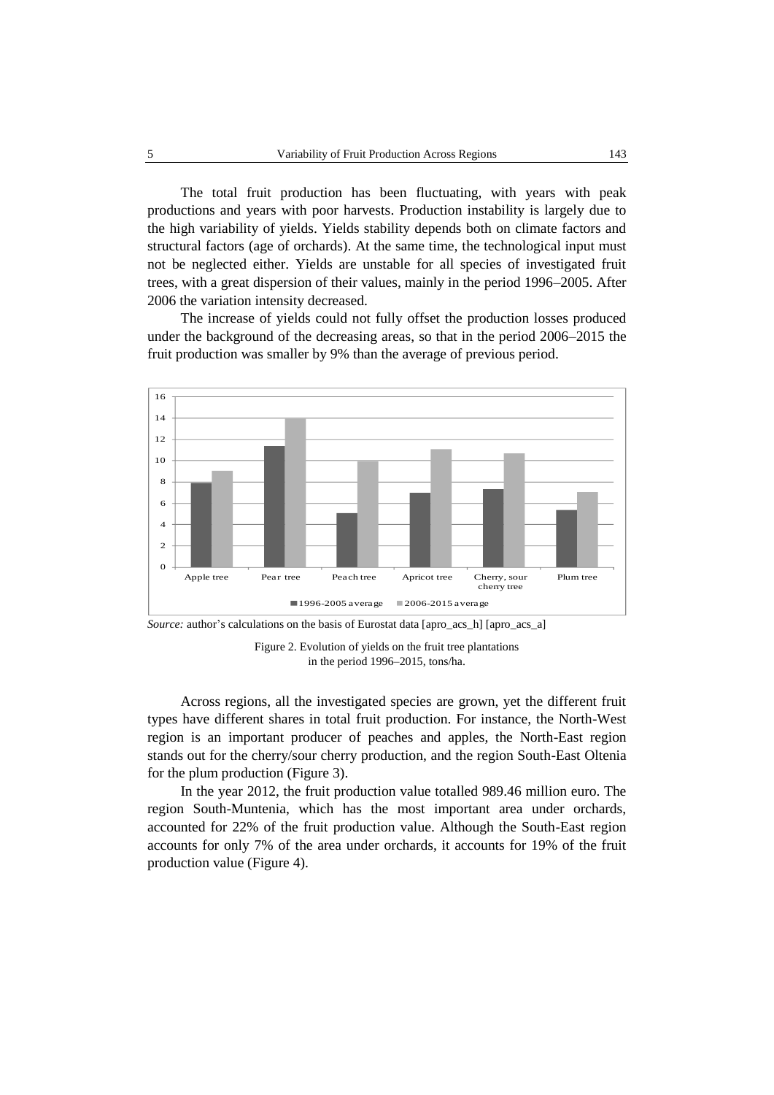The total fruit production has been fluctuating, with years with peak productions and years with poor harvests. Production instability is largely due to the high variability of yields. Yields stability depends both on climate factors and structural factors (age of orchards). At the same time, the technological input must not be neglected either. Yields are unstable for all species of investigated fruit trees, with a great dispersion of their values, mainly in the period 1996–2005. After 2006 the variation intensity decreased.

The increase of yields could not fully offset the production losses produced under the background of the decreasing areas, so that in the period 2006–2015 the fruit production was smaller by 9% than the average of previous period.



*Source:* author's calculations on the basis of Eurostat data [apro\_acs\_h] [apro\_acs\_a]

Figure 2. Evolution of yields on the fruit tree plantations in the period 1996–2015, tons/ha.

Across regions, all the investigated species are grown, yet the different fruit types have different shares in total fruit production. For instance, the North-West region is an important producer of peaches and apples, the North-East region stands out for the cherry/sour cherry production, and the region South-East Oltenia for the plum production (Figure 3).

In the year 2012, the fruit production value totalled 989.46 million euro. The region South-Muntenia, which has the most important area under orchards, accounted for 22% of the fruit production value. Although the South-East region accounts for only 7% of the area under orchards, it accounts for 19% of the fruit production value (Figure 4).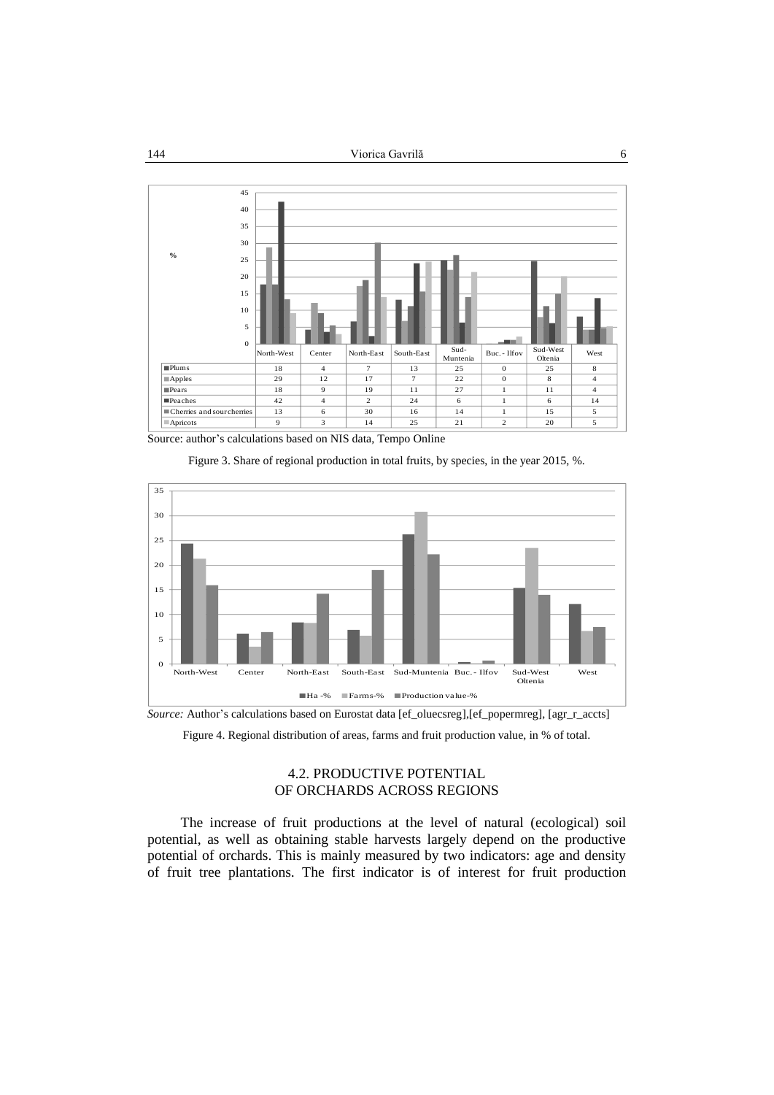

Source: author's calculations based on NIS data, Tempo Online

Figure 3. Share of regional production in total fruits, by species, in the year 2015, %.



*Source:* Author's calculations based on Eurostat data [ef\_oluecsreg],[ef\_popermreg], [agr\_r\_accts]

Figure 4. Regional distribution of areas, farms and fruit production value, in % of total.

# 4.2. PRODUCTIVE POTENTIAL OF ORCHARDS ACROSS REGIONS

The increase of fruit productions at the level of natural (ecological) soil potential, as well as obtaining stable harvests largely depend on the productive potential of orchards. This is mainly measured by two indicators: age and density of fruit tree plantations. The first indicator is of interest for fruit production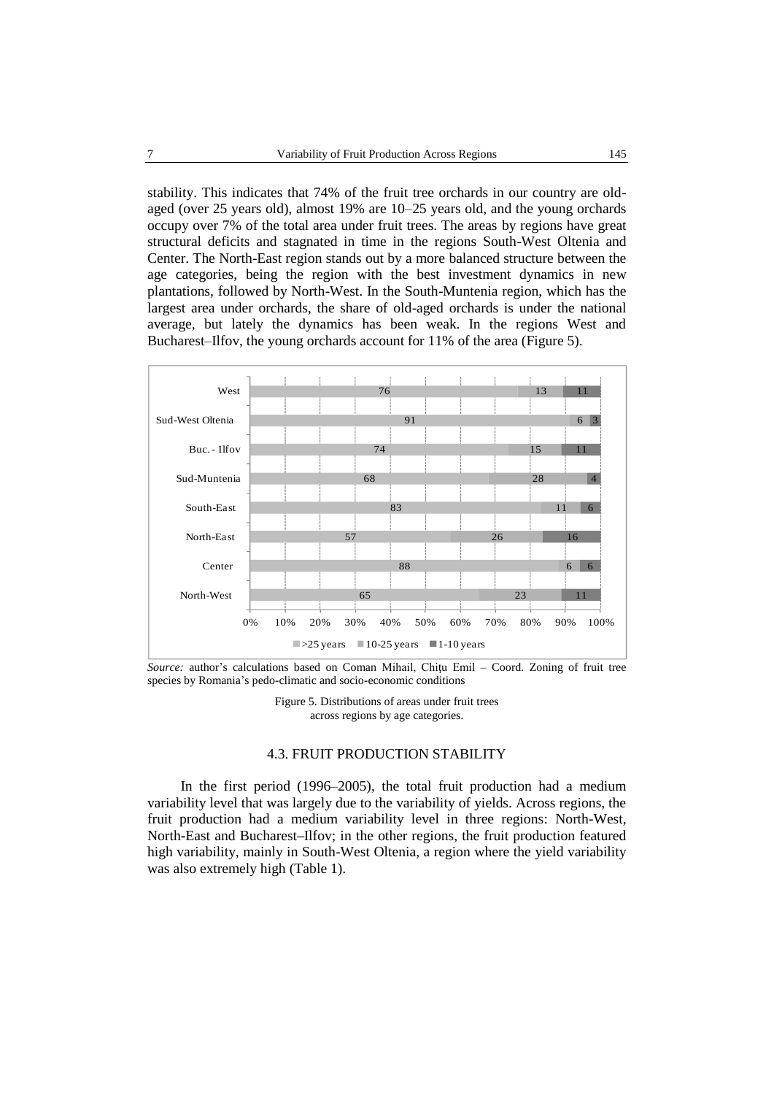stability. This indicates that 74% of the fruit tree orchards in our country are oldaged (over 25 years old), almost 19% are 10–25 years old, and the young orchards occupy over 7% of the total area under fruit trees. The areas by regions have great structural deficits and stagnated in time in the regions South-West Oltenia and Center. The North-East region stands out by a more balanced structure between the age categories, being the region with the best investment dynamics in new plantations, followed by North-West. In the South-Muntenia region, which has the largest area under orchards, the share of old-aged orchards is under the national average, but lately the dynamics has been weak. In the regions West and Bucharest–Ilfov, the young orchards account for 11% of the area (Figure 5).



*Source:* author's calculations based on Coman Mihail, Chiţu Emil – Coord. Zoning of fruit tree species by Romania's pedo-climatic and socio-economic conditions

Figure 5. Distributions of areas under fruit trees across regions by age categories.

#### 4.3. FRUIT PRODUCTION STABILITY

In the first period (1996–2005), the total fruit production had a medium variability level that was largely due to the variability of yields. Across regions, the fruit production had a medium variability level in three regions: North**-**West, North**-**East and Bucharest**–**Ilfov; in the other regions, the fruit production featured high variability, mainly in South-West Oltenia, a region where the yield variability was also extremely high (Table 1).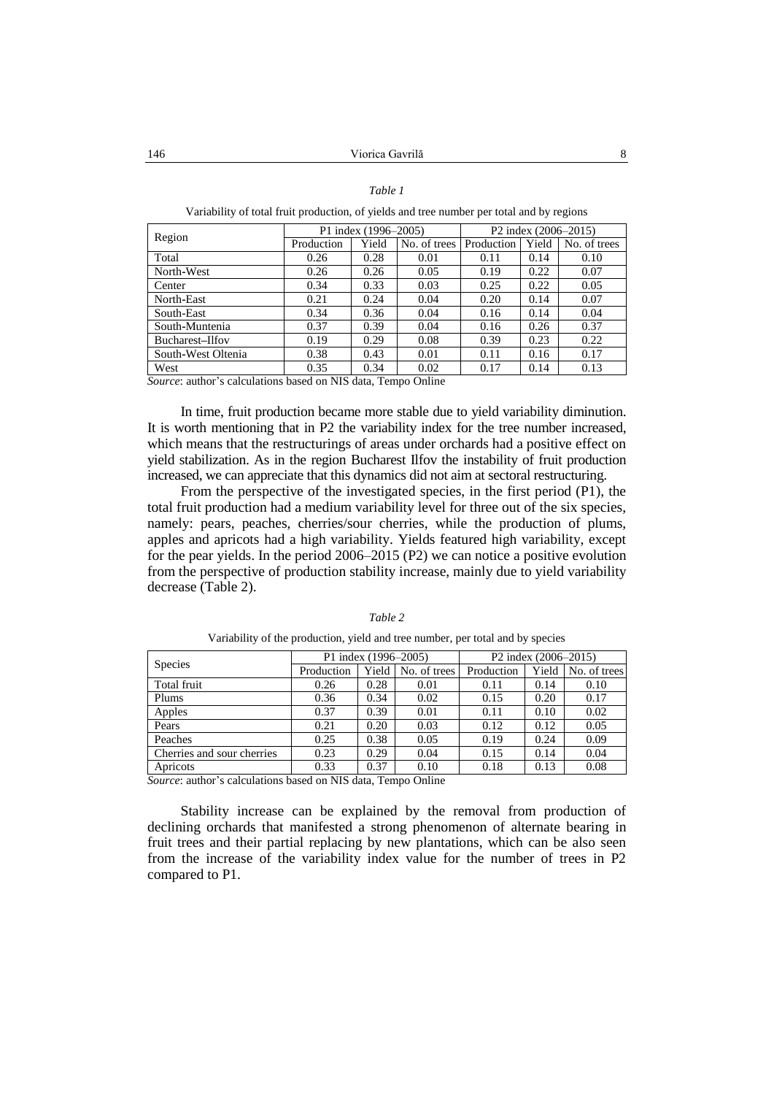#### *Table 1*

Variability of total fruit production, of yields and tree number per total and by regions

| Region             | P1 index (1996–2005) |       |              | P <sub>2</sub> index (2006–2015) |       |              |
|--------------------|----------------------|-------|--------------|----------------------------------|-------|--------------|
|                    | Production           | Yield | No. of trees | Production                       | Yield | No. of trees |
| Total              | 0.26                 | 0.28  | 0.01         | 0.11                             | 0.14  | 0.10         |
| North-West         | 0.26                 | 0.26  | 0.05         | 0.19                             | 0.22  | 0.07         |
| Center             | 0.34                 | 0.33  | 0.03         | 0.25                             | 0.22  | 0.05         |
| North-East         | 0.21                 | 0.24  | 0.04         | 0.20                             | 0.14  | 0.07         |
| South-East         | 0.34                 | 0.36  | 0.04         | 0.16                             | 0.14  | 0.04         |
| South-Muntenia     | 0.37                 | 0.39  | 0.04         | 0.16                             | 0.26  | 0.37         |
| Bucharest-Ilfov    | 0.19                 | 0.29  | 0.08         | 0.39                             | 0.23  | 0.22         |
| South-West Oltenia | 0.38                 | 0.43  | 0.01         | 0.11                             | 0.16  | 0.17         |
| West               | 0.35                 | 0.34  | 0.02         | 0.17                             | 0.14  | 0.13         |

*Source*: author's calculations based on NIS data, Tempo Online

In time, fruit production became more stable due to yield variability diminution. It is worth mentioning that in P2 the variability index for the tree number increased, which means that the restructurings of areas under orchards had a positive effect on yield stabilization. As in the region Bucharest Ilfov the instability of fruit production increased, we can appreciate that this dynamics did not aim at sectoral restructuring.

From the perspective of the investigated species, in the first period (P1), the total fruit production had a medium variability level for three out of the six species, namely: pears, peaches, cherries/sour cherries, while the production of plums, apples and apricots had a high variability. Yields featured high variability, except for the pear yields. In the period 2006–2015 (P2) we can notice a positive evolution from the perspective of production stability increase, mainly due to yield variability decrease (Table 2).

| <b>Species</b>             | P1 index (1996–2005) |       |              | P2 index (2006–2015) |       |              |
|----------------------------|----------------------|-------|--------------|----------------------|-------|--------------|
|                            | Production           | Yield | No. of trees | Production           | Yield | No. of trees |
| Total fruit                | 0.26                 | 0.28  | 0.01         | 0.11                 | 0.14  | 0.10         |
| Plums                      | 0.36                 | 0.34  | 0.02         | 0.15                 | 0.20  | 0.17         |
| Apples                     | 0.37                 | 0.39  | 0.01         | 0.11                 | 0.10  | 0.02         |
| Pears                      | 0.21                 | 0.20  | 0.03         | 0.12                 | 0.12  | 0.05         |
| Peaches                    | 0.25                 | 0.38  | 0.05         | 0.19                 | 0.24  | 0.09         |
| Cherries and sour cherries | 0.23                 | 0.29  | 0.04         | 0.15                 | 0.14  | 0.04         |
| Apricots                   | 0.33                 | 0.37  | 0.10         | 0.18                 | 0.13  | 0.08         |

*Table 2* 

Variability of the production, yield and tree number, per total and by species

*Source*: author's calculations based on NIS data, Tempo Online

Stability increase can be explained by the removal from production of declining orchards that manifested a strong phenomenon of alternate bearing in fruit trees and their partial replacing by new plantations, which can be also seen from the increase of the variability index value for the number of trees in P2 compared to P1.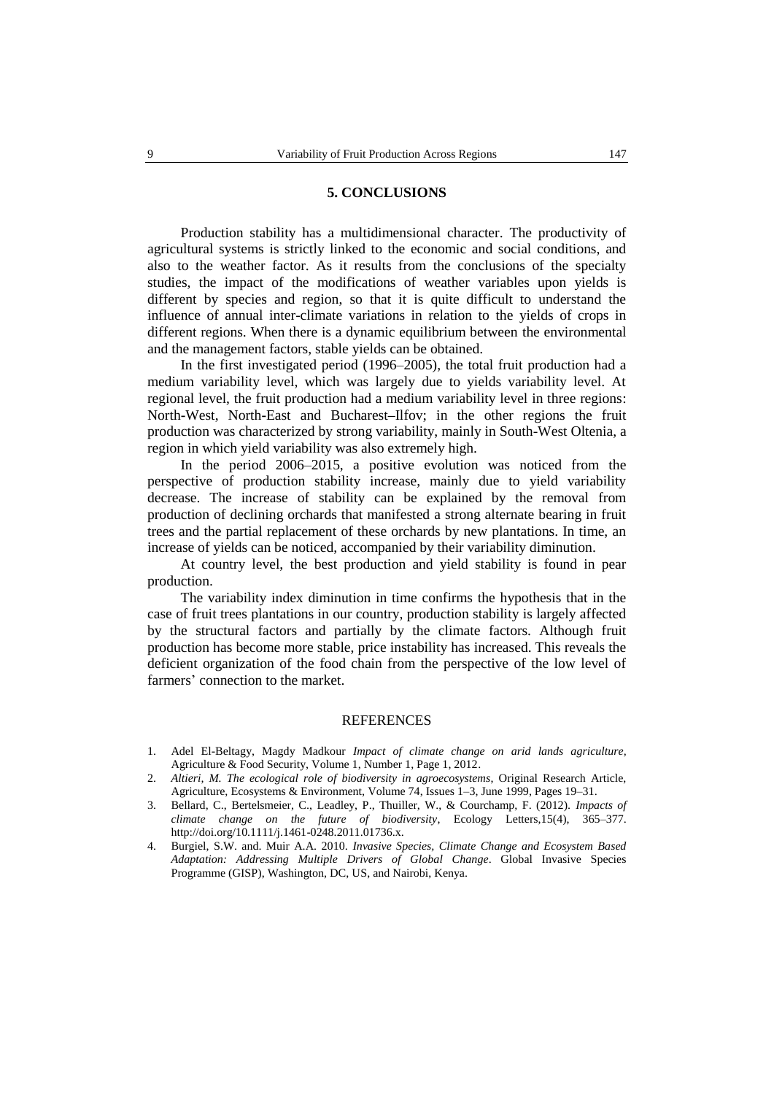#### **5. CONCLUSIONS**

Production stability has a multidimensional character. The productivity of agricultural systems is strictly linked to the economic and social conditions, and also to the weather factor. As it results from the conclusions of the specialty studies, the impact of the modifications of weather variables upon yields is different by species and region, so that it is quite difficult to understand the influence of annual inter-climate variations in relation to the yields of crops in different regions. When there is a dynamic equilibrium between the environmental and the management factors, stable yields can be obtained.

In the first investigated period (1996–2005), the total fruit production had a medium variability level, which was largely due to yields variability level. At regional level, the fruit production had a medium variability level in three regions: North**-**West, North**-**East and Bucharest**–**Ilfov; in the other regions the fruit production was characterized by strong variability, mainly in South-West Oltenia, a region in which yield variability was also extremely high.

In the period 2006–2015, a positive evolution was noticed from the perspective of production stability increase, mainly due to yield variability decrease. The increase of stability can be explained by the removal from production of declining orchards that manifested a strong alternate bearing in fruit trees and the partial replacement of these orchards by new plantations. In time, an increase of yields can be noticed, accompanied by their variability diminution.

At country level, the best production and yield stability is found in pear production.

The variability index diminution in time confirms the hypothesis that in the case of fruit trees plantations in our country, production stability is largely affected by the structural factors and partially by the climate factors. Although fruit production has become more stable, price instability has increased. This reveals the deficient organization of the food chain from the perspective of the low level of farmers' connection to the market.

# **REFERENCES**

- 1. Adel El-Beltagy, Magdy Madkour *Impact of climate change on arid lands agriculture,*  Agriculture & Food Security, Volume 1, Number 1, Page 1, 2012.
- 2. *Altieri, M. The ecological role of biodiversity in agroecosystems*, Original Research Article, Agriculture, Ecosystems & Environment, Volume 74, Issues 1–3, June 1999, Pages 19–31.
- 3. Bellard, C., Bertelsmeier, C., Leadley, P., Thuiller, W., & Courchamp, F. (2012). *Impacts of climate change on the future of biodiversity*, Ecology Letters,15(4), 365–377. http://doi.org/10.1111/j.1461-0248.2011.01736.x.
- 4. Burgiel, S.W. and. Muir A.A. 2010. *Invasive Species, Climate Change and Ecosystem Based Adaptation: Addressing Multiple Drivers of Global Change*. Global Invasive Species Programme (GISP), Washington, DC, US, and Nairobi, Kenya.